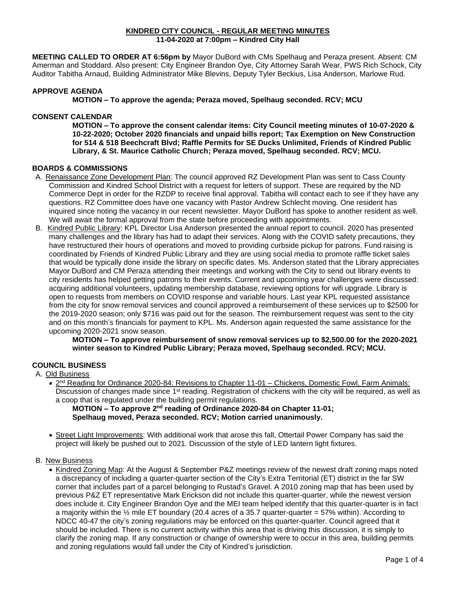#### **KINDRED CITY COUNCIL - REGULAR MEETING MINUTES 11-04-2020 at 7:00pm – Kindred City Hall**

**MEETING CALLED TO ORDER AT 6:56pm by** Mayor DuBord with CMs Spelhaug and Peraza present. Absent: CM Amerman and Stoddard. Also present: City Engineer Brandon Oye, City Attorney Sarah Wear, PWS Rich Schock, City Auditor Tabitha Arnaud, Building Administrator Mike Blevins, Deputy Tyler Beckius, Lisa Anderson, Marlowe Rud.

## **APPROVE AGENDA**

**MOTION – To approve the agenda; Peraza moved, Spelhaug seconded. RCV; MCU** 

# **CONSENT CALENDAR**

**MOTION – To approve the consent calendar items: City Council meeting minutes of 10-07-2020 & 10-22-2020; October 2020 financials and unpaid bills report; Tax Exemption on New Construction for 514 & 518 Beechcraft Blvd; Raffle Permits for SE Ducks Unlimited, Friends of Kindred Public Library, & St. Maurice Catholic Church; Peraza moved, Spelhaug seconded. RCV; MCU.**

## **BOARDS & COMMISSIONS**

- A. Renaissance Zone Development Plan: The council approved RZ Development Plan was sent to Cass County Commission and Kindred School District with a request for letters of support. These are required by the ND Commerce Dept in order for the RZDP to receive final approval. Tabitha will contact each to see if they have any questions. RZ Committee does have one vacancy with Pastor Andrew Schlecht moving. One resident has inquired since noting the vacancy in our recent newsletter. Mayor DuBord has spoke to another resident as well. We will await the formal approval from the state before proceeding with appointments.
- B. Kindred Public Library: KPL Director Lisa Anderson presented the annual report to council. 2020 has presented many challenges and the library has had to adapt their services. Along with the COVID safety precautions, they have restructured their hours of operations and moved to providing curbside pickup for patrons. Fund raising is coordinated by Friends of Kindred Public Library and they are using social media to promote raffle ticket sales that would be typically done inside the library on specific dates. Ms. Anderson stated that the Library appreciates Mayor DuBord and CM Peraza attending their meetings and working with the City to send out library events to city residents has helped getting patrons to their events. Current and upcoming year challenges were discussed: acquiring additional volunteers, updating membership database, reviewing options for wifi upgrade. Library is open to requests from members on COVID response and variable hours. Last year KPL requested assistance from the city for snow removal services and council approved a reimbursement of these services up to \$2500 for the 2019-2020 season; only \$716 was paid out for the season. The reimbursement request was sent to the city and on this month's financials for payment to KPL. Ms. Anderson again requested the same assistance for the upcoming 2020-2021 snow season.

**MOTION – To approve reimbursement of snow removal services up to \$2,500.00 for the 2020-2021 winter season to Kindred Public Library; Peraza moved, Spelhaug seconded. RCV; MCU.** 

# **COUNCIL BUSINESS**

# A. Old Business

• 2<sup>nd</sup> Reading for Ordinance 2020-84: Revisions to Chapter 11-01 – Chickens, Domestic Fowl, Farm Animals: Discussion of changes made since 1<sup>st</sup> reading. Registration of chickens with the city will be required, as well as a coop that is regulated under the building permit regulations.

**MOTION – To approve 2<sup>nd</sup> reading of Ordinance 2020-84 on Chapter 11-01; Spelhaug moved, Peraza seconded. RCV; Motion carried unanimously.** 

• Street Light Improvements: With additional work that arose this fall, Ottertail Power Company has said the project will likely be pushed out to 2021. Discussion of the style of LED lantern light fixtures.

#### B. New Business

• Kindred Zoning Map: At the August & September P&Z meetings review of the newest draft zoning maps noted a discrepancy of including a quarter-quarter section of the City's Extra Territorial (ET) district in the far SW corner that includes part of a parcel belonging to Rustad's Gravel. A 2010 zoning map that has been used by previous P&Z ET representative Mark Erickson did not include this quarter-quarter, while the newest version does include it. City Engineer Brandon Oye and the MEI team helped identify that this quarter-quarter is in fact a majority within the ½ mile ET boundary (20.4 acres of a 35.7 quarter-quarter = 57% within). According to NDCC 40-47 the city's zoning regulations may be enforced on this quarter-quarter. Council agreed that it should be included. There is no current activity within this area that is driving this discussion, it is simply to clarify the zoning map. If any construction or change of ownership were to occur in this area, building permits and zoning regulations would fall under the City of Kindred's jurisdiction.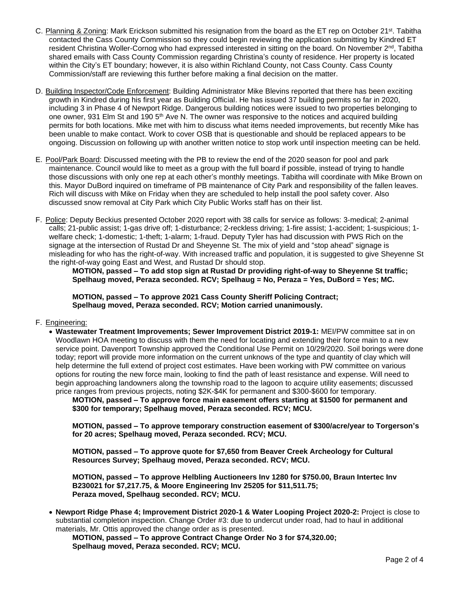- C. Planning & Zoning: Mark Erickson submitted his resignation from the board as the ET rep on October 21<sup>st</sup>. Tabitha contacted the Cass County Commission so they could begin reviewing the application submitting by Kindred ET resident Christina Woller-Cornog who had expressed interested in sitting on the board. On November 2<sup>nd</sup>, Tabitha shared emails with Cass County Commission regarding Christina's county of residence. Her property is located within the City's ET boundary; however, it is also within Richland County, not Cass County. Cass County Commission/staff are reviewing this further before making a final decision on the matter.
- D. Building Inspector/Code Enforcement: Building Administrator Mike Blevins reported that there has been exciting growth in Kindred during his first year as Building Official. He has issued 37 building permits so far in 2020, including 3 in Phase 4 of Newport Ridge. Dangerous building notices were issued to two properties belonging to one owner, 931 Elm St and 190 5<sup>th</sup> Ave N. The owner was responsive to the notices and acquired building permits for both locations. Mike met with him to discuss what items needed improvements, but recently Mike has been unable to make contact. Work to cover OSB that is questionable and should be replaced appears to be ongoing. Discussion on following up with another written notice to stop work until inspection meeting can be held.
- E. Pool/Park Board: Discussed meeting with the PB to review the end of the 2020 season for pool and park maintenance. Council would like to meet as a group with the full board if possible, instead of trying to handle those discussions with only one rep at each other's monthly meetings. Tabitha will coordinate with Mike Brown on this. Mayor DuBord inquired on timeframe of PB maintenance of City Park and responsibility of the fallen leaves. Rich will discuss with Mike on Friday when they are scheduled to help install the pool safety cover. Also discussed snow removal at City Park which City Public Works staff has on their list.
- F. Police: Deputy Beckius presented October 2020 report with 38 calls for service as follows: 3-medical; 2-animal calls; 21-public assist; 1-gas drive off; 1-disturbance; 2-reckless driving; 1-fire assist; 1-accident; 1-suspicious; 1 welfare check; 1-domestic; 1-theft; 1-alarm; 1-fraud. Deputy Tyler has had discussion with PWS Rich on the signage at the intersection of Rustad Dr and Sheyenne St. The mix of yield and "stop ahead" signage is misleading for who has the right-of-way. With increased traffic and population, it is suggested to give Sheyenne St the right-of-way going East and West, and Rustad Dr should stop.

**MOTION, passed – To add stop sign at Rustad Dr providing right-of-way to Sheyenne St traffic; Spelhaug moved, Peraza seconded. RCV; Spelhaug = No, Peraza = Yes, DuBord = Yes; MC.**

**MOTION, passed – To approve 2021 Cass County Sheriff Policing Contract; Spelhaug moved, Peraza seconded. RCV; Motion carried unanimously.**

## F. Engineering:

• **Wastewater Treatment Improvements; Sewer Improvement District 2019-1:** MEI/PW committee sat in on Woodlawn HOA meeting to discuss with them the need for locating and extending their force main to a new service point. Davenport Township approved the Conditional Use Permit on 10/29/2020. Soil borings were done today; report will provide more information on the current unknows of the type and quantity of clay which will help determine the full extend of project cost estimates. Have been working with PW committee on various options for routing the new force main, looking to find the path of least resistance and expense. Will need to begin approaching landowners along the township road to the lagoon to acquire utility easements; discussed price ranges from previous projects, noting \$2K-\$4K for permanent and \$300-\$600 for temporary.

**MOTION, passed – To approve force main easement offers starting at \$1500 for permanent and \$300 for temporary; Spelhaug moved, Peraza seconded. RCV; MCU.**

**MOTION, passed – To approve temporary construction easement of \$300/acre/year to Torgerson's for 20 acres; Spelhaug moved, Peraza seconded. RCV; MCU.**

**MOTION, passed – To approve quote for \$7,650 from Beaver Creek Archeology for Cultural Resources Survey; Spelhaug moved, Peraza seconded. RCV; MCU.**

**MOTION, passed – To approve Helbling Auctioneers Inv 1280 for \$750.00, Braun Intertec Inv B230021 for \$7,217.75, & Moore Engineering Inv 25205 for \$11,511.75; Peraza moved, Spelhaug seconded. RCV; MCU.**

• **Newport Ridge Phase 4; Improvement District 2020-1 & Water Looping Project 2020-2:** Project is close to substantial completion inspection. Change Order #3: due to undercut under road, had to haul in additional materials, Mr. Ottis approved the change order as is presented.

**MOTION, passed – To approve Contract Change Order No 3 for \$74,320.00; Spelhaug moved, Peraza seconded. RCV; MCU.**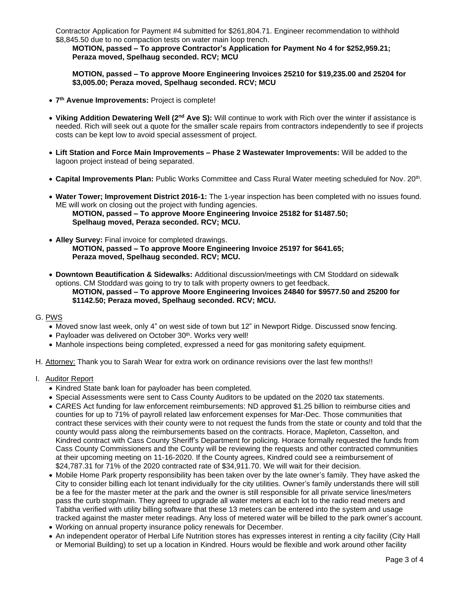Contractor Application for Payment #4 submitted for \$261,804.71. Engineer recommendation to withhold \$8,845.50 due to no compaction tests on water main loop trench.

**MOTION, passed – To approve Contractor's Application for Payment No 4 for \$252,959.21; Peraza moved, Spelhaug seconded. RCV; MCU**

**MOTION, passed – To approve Moore Engineering Invoices 25210 for \$19,235.00 and 25204 for \$3,005.00; Peraza moved, Spelhaug seconded. RCV; MCU**

- **7 th Avenue Improvements:** Project is complete!
- **Viking Addition Dewatering Well (2nd Ave S):** Will continue to work with Rich over the winter if assistance is needed. Rich will seek out a quote for the smaller scale repairs from contractors independently to see if projects costs can be kept low to avoid special assessment of project.
- **Lift Station and Force Main Improvements – Phase 2 Wastewater Improvements:** Will be added to the lagoon project instead of being separated.
- **Capital Improvements Plan:** Public Works Committee and Cass Rural Water meeting scheduled for Nov. 20th .
- **Water Tower; Improvement District 2016-1:** The 1-year inspection has been completed with no issues found. ME will work on closing out the project with funding agencies. **MOTION, passed – To approve Moore Engineering Invoice 25182 for \$1487.50; Spelhaug moved, Peraza seconded. RCV; MCU.**
- **Alley Survey:** Final invoice for completed drawings. **MOTION, passed – To approve Moore Engineering Invoice 25197 for \$641.65; Peraza moved, Spelhaug seconded. RCV; MCU.**
- **Downtown Beautification & Sidewalks:** Additional discussion/meetings with CM Stoddard on sidewalk options. CM Stoddard was going to try to talk with property owners to get feedback.
	- **MOTION, passed – To approve Moore Engineering Invoices 24840 for \$9577.50 and 25200 for \$1142.50; Peraza moved, Spelhaug seconded. RCV; MCU.**
- G. PWS
	- Moved snow last week, only 4" on west side of town but 12" in Newport Ridge. Discussed snow fencing.
	- Payloader was delivered on October 30<sup>th</sup>. Works very well!
	- Manhole inspections being completed, expressed a need for gas monitoring safety equipment.
- H. Attorney: Thank you to Sarah Wear for extra work on ordinance revisions over the last few months!!
- I. Auditor Report
	- Kindred State bank loan for payloader has been completed.
	- Special Assessments were sent to Cass County Auditors to be updated on the 2020 tax statements.
	- CARES Act funding for law enforcement reimbursements: ND approved \$1.25 billion to reimburse cities and counties for up to 71% of payroll related law enforcement expenses for Mar-Dec. Those communities that contract these services with their county were to not request the funds from the state or county and told that the county would pass along the reimbursements based on the contracts. Horace, Mapleton, Casselton, and Kindred contract with Cass County Sheriff's Department for policing. Horace formally requested the funds from Cass County Commissioners and the County will be reviewing the requests and other contracted communities at their upcoming meeting on 11-16-2020. If the County agrees, Kindred could see a reimbursement of \$24,787.31 for 71% of the 2020 contracted rate of \$34,911.70. We will wait for their decision.
	- Mobile Home Park property responsibility has been taken over by the late owner's family. They have asked the City to consider billing each lot tenant individually for the city utilities. Owner's family understands there will still be a fee for the master meter at the park and the owner is still responsible for all private service lines/meters pass the curb stop/main. They agreed to upgrade all water meters at each lot to the radio read meters and Tabitha verified with utility billing software that these 13 meters can be entered into the system and usage tracked against the master meter readings. Any loss of metered water will be billed to the park owner's account.
	- Working on annual property insurance policy renewals for December.
	- An independent operator of Herbal Life Nutrition stores has expresses interest in renting a city facility (City Hall or Memorial Building) to set up a location in Kindred. Hours would be flexible and work around other facility